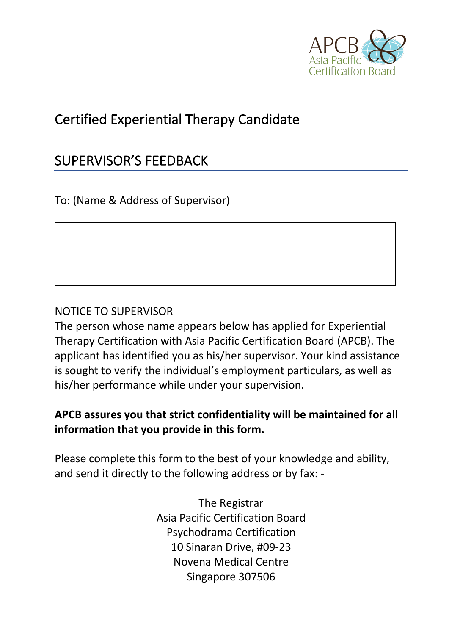

# Certified Experiential Therapy Candidate

## SUPERVISOR'S FEEDBACK

To: (Name & Address of Supervisor)

#### NOTICE TO SUPERVISOR

The person whose name appears below has applied for Experiential Therapy Certification with Asia Pacific Certification Board (APCB). The applicant has identified you as his/her supervisor. Your kind assistance is sought to verify the individual's employment particulars, as well as his/her performance while under your supervision.

## **APCB assures you that strict confidentiality will be maintained for all information that you provide in this form.**

Please complete this form to the best of your knowledge and ability, and send it directly to the following address or by fax: -

> The Registrar Asia Pacific Certification Board Psychodrama Certification 10 Sinaran Drive, #09-23 Novena Medical Centre Singapore 307506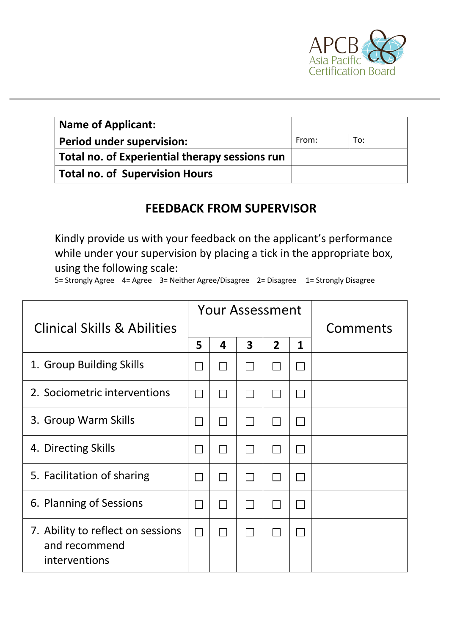

| Name of Applicant:                             |       |     |
|------------------------------------------------|-------|-----|
| <b>Period under supervision:</b>               | From: | To: |
| Total no. of Experiential therapy sessions run |       |     |
| Total no. of Supervision Hours                 |       |     |

## **FEEDBACK FROM SUPERVISOR**

Kindly provide us with your feedback on the applicant's performance while under your supervision by placing a tick in the appropriate box, using the following scale:

5= Strongly Agree 4= Agree 3= Neither Agree/Disagree 2= Disagree 1= Strongly Disagree

|                                                                     |                             | <b>Your Assessment</b> |                |                |              |          |
|---------------------------------------------------------------------|-----------------------------|------------------------|----------------|----------------|--------------|----------|
| <b>Clinical Skills &amp; Abilities</b>                              |                             |                        |                |                |              | Comments |
|                                                                     | 5                           | 4                      | 3              | $\overline{2}$ | $\mathbf{1}$ |          |
| 1. Group Building Skills                                            |                             |                        |                |                |              |          |
| 2. Sociometric interventions                                        |                             |                        |                |                |              |          |
| 3. Group Warm Skills                                                |                             |                        | $\blacksquare$ |                |              |          |
| 4. Directing Skills                                                 |                             |                        | $\perp$        |                |              |          |
| 5. Facilitation of sharing                                          |                             |                        | $\Box$         |                |              |          |
| 6. Planning of Sessions                                             |                             |                        |                |                |              |          |
| 7. Ability to reflect on sessions<br>and recommend<br>interventions | $\mathcal{L}_{\mathcal{A}}$ |                        | $\Box$         |                |              |          |